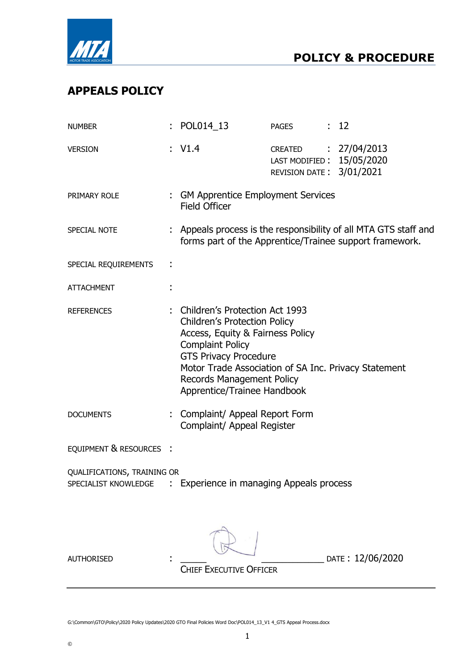

# APPEALS POLICY

| <b>NUMBER</b>                                       | : POL014_13                                                                                                                                                                                                                                                                                       | <b>PAGES</b>                                                                  | : 12                                                                                                                        |
|-----------------------------------------------------|---------------------------------------------------------------------------------------------------------------------------------------------------------------------------------------------------------------------------------------------------------------------------------------------------|-------------------------------------------------------------------------------|-----------------------------------------------------------------------------------------------------------------------------|
| <b>VERSION</b>                                      | : $V1.4$                                                                                                                                                                                                                                                                                          | CREATED : 27/04/2013<br>LAST MODIFIED: 15/05/2020<br>REVISION DATE: 3/01/2021 |                                                                                                                             |
| PRIMARY ROLE                                        | : GM Apprentice Employment Services<br><b>Field Officer</b>                                                                                                                                                                                                                                       |                                                                               |                                                                                                                             |
| SPECIAL NOTE                                        |                                                                                                                                                                                                                                                                                                   |                                                                               | : Appeals process is the responsibility of all MTA GTS staff and<br>forms part of the Apprentice/Trainee support framework. |
| SPECIAL REQUIREMENTS                                |                                                                                                                                                                                                                                                                                                   |                                                                               |                                                                                                                             |
| <b>ATTACHMENT</b>                                   |                                                                                                                                                                                                                                                                                                   |                                                                               |                                                                                                                             |
| <b>REFERENCES</b>                                   | : Children's Protection Act 1993<br><b>Children's Protection Policy</b><br>Access, Equity & Fairness Policy<br><b>Complaint Policy</b><br><b>GTS Privacy Procedure</b><br>Motor Trade Association of SA Inc. Privacy Statement<br><b>Records Management Policy</b><br>Apprentice/Trainee Handbook |                                                                               |                                                                                                                             |
| <b>DOCUMENTS</b>                                    | : Complaint/ Appeal Report Form<br>Complaint/ Appeal Register                                                                                                                                                                                                                                     |                                                                               |                                                                                                                             |
| EQUIPMENT & RESOURCES :                             |                                                                                                                                                                                                                                                                                                   |                                                                               |                                                                                                                             |
| QUALIFICATIONS, TRAINING OR<br>SPECIALIST KNOWLEDGE | Experience in managing Appeals process                                                                                                                                                                                                                                                            |                                                                               |                                                                                                                             |
| <b>AUTHORISED</b>                                   | <b>CHIEF EXECUTIVE OFFICER</b>                                                                                                                                                                                                                                                                    |                                                                               | DATE: 12/06/2020                                                                                                            |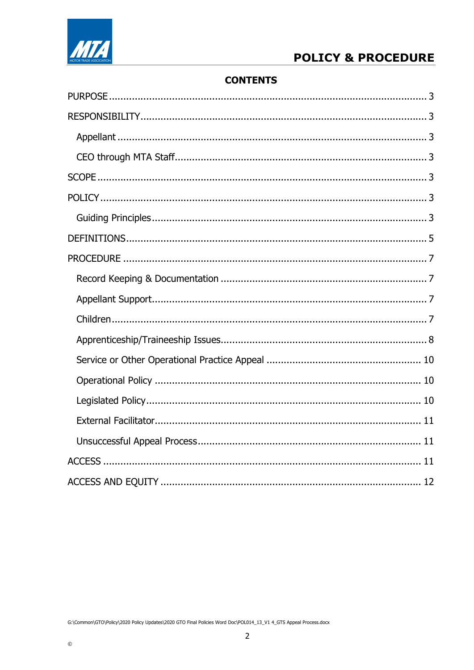# **POLICY & PROCEDURE**



# **CONTENTS**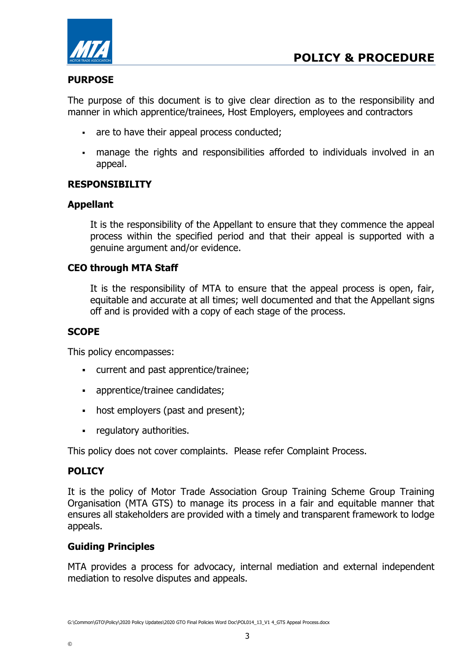

# PURPOSE

The purpose of this document is to give clear direction as to the responsibility and manner in which apprentice/trainees, Host Employers, employees and contractors

- are to have their appeal process conducted;
- manage the rights and responsibilities afforded to individuals involved in an appeal.

## RESPONSIBILITY

## Appellant

It is the responsibility of the Appellant to ensure that they commence the appeal process within the specified period and that their appeal is supported with a genuine argument and/or evidence.

#### CEO through MTA Staff

It is the responsibility of MTA to ensure that the appeal process is open, fair, equitable and accurate at all times; well documented and that the Appellant signs off and is provided with a copy of each stage of the process.

#### **SCOPE**

This policy encompasses:

- current and past apprentice/trainee;
- apprentice/trainee candidates;
- host employers (past and present);
- **•** regulatory authorities.

This policy does not cover complaints. Please refer Complaint Process.

## POLICY

It is the policy of Motor Trade Association Group Training Scheme Group Training Organisation (MTA GTS) to manage its process in a fair and equitable manner that ensures all stakeholders are provided with a timely and transparent framework to lodge appeals.

#### Guiding Principles

MTA provides a process for advocacy, internal mediation and external independent mediation to resolve disputes and appeals.

©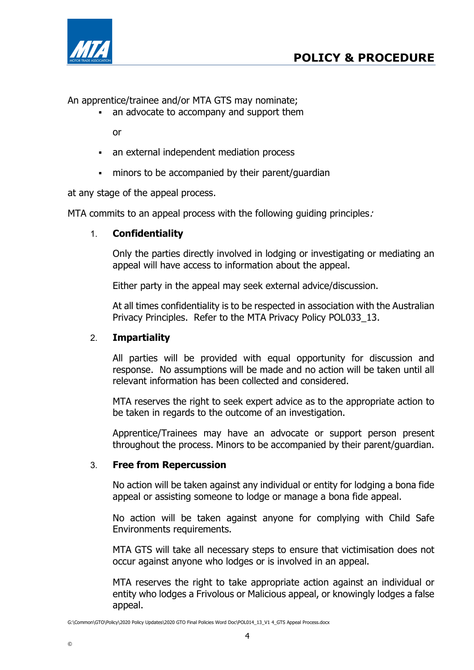



An apprentice/trainee and/or MTA GTS may nominate;

an advocate to accompany and support them

or

- an external independent mediation process
- minors to be accompanied by their parent/guardian

at any stage of the appeal process.

MTA commits to an appeal process with the following quiding principles.

#### 1. Confidentiality

Only the parties directly involved in lodging or investigating or mediating an appeal will have access to information about the appeal.

Either party in the appeal may seek external advice/discussion.

At all times confidentiality is to be respected in association with the Australian Privacy Principles. Refer to the MTA Privacy Policy POL033\_13.

#### 2. Impartiality

All parties will be provided with equal opportunity for discussion and response. No assumptions will be made and no action will be taken until all relevant information has been collected and considered.

MTA reserves the right to seek expert advice as to the appropriate action to be taken in regards to the outcome of an investigation.

Apprentice/Trainees may have an advocate or support person present throughout the process. Minors to be accompanied by their parent/guardian.

#### 3. Free from Repercussion

No action will be taken against any individual or entity for lodging a bona fide appeal or assisting someone to lodge or manage a bona fide appeal.

No action will be taken against anyone for complying with Child Safe Environments requirements.

MTA GTS will take all necessary steps to ensure that victimisation does not occur against anyone who lodges or is involved in an appeal.

MTA reserves the right to take appropriate action against an individual or entity who lodges a Frivolous or Malicious appeal, or knowingly lodges a false appeal.

G:\Common\GTO\Policy\2020 Policy Updates\2020 GTO Final Policies Word Doc\POL014\_13\_V1 4\_GTS Appeal Process.docx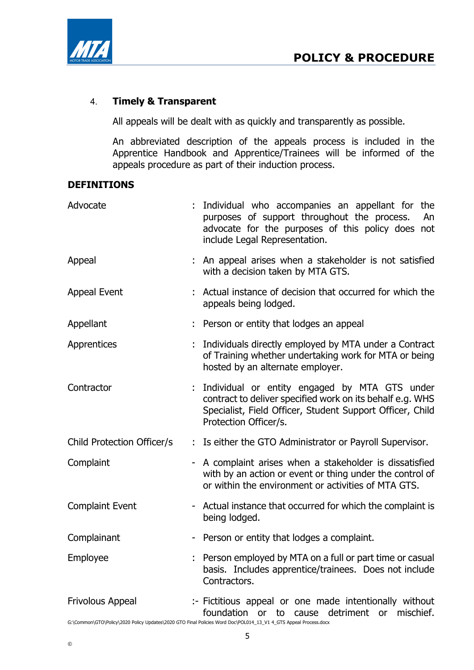



## 4. Timely & Transparent

All appeals will be dealt with as quickly and transparently as possible.

An abbreviated description of the appeals process is included in the Apprentice Handbook and Apprentice/Trainees will be informed of the appeals procedure as part of their induction process.

#### DEFINITIONS

| Advocate                   | : Individual who accompanies an appellant for the<br>purposes of support throughout the process.<br>An<br>advocate for the purposes of this policy does not<br>include Legal Representation.       |
|----------------------------|----------------------------------------------------------------------------------------------------------------------------------------------------------------------------------------------------|
| Appeal                     | : An appeal arises when a stakeholder is not satisfied<br>with a decision taken by MTA GTS.                                                                                                        |
| <b>Appeal Event</b>        | : Actual instance of decision that occurred for which the<br>appeals being lodged.                                                                                                                 |
| Appellant                  | Person or entity that lodges an appeal                                                                                                                                                             |
| Apprentices                | Individuals directly employed by MTA under a Contract<br>of Training whether undertaking work for MTA or being<br>hosted by an alternate employer.                                                 |
| Contractor                 | : Individual or entity engaged by MTA GTS under<br>contract to deliver specified work on its behalf e.g. WHS<br>Specialist, Field Officer, Student Support Officer, Child<br>Protection Officer/s. |
| Child Protection Officer/s | : Is either the GTO Administrator or Payroll Supervisor.                                                                                                                                           |
| Complaint                  | - A complaint arises when a stakeholder is dissatisfied<br>with by an action or event or thing under the control of<br>or within the environment or activities of MTA GTS.                         |
| <b>Complaint Event</b>     | - Actual instance that occurred for which the complaint is<br>being lodged.                                                                                                                        |
| Complainant                | - Person or entity that lodges a complaint.                                                                                                                                                        |
| Employee                   | : Person employed by MTA on a full or part time or casual<br>basis. Includes apprentice/trainees. Does not include<br>Contractors.                                                                 |
| Frivolous Appeal           | :- Fictitious appeal or one made intentionally without<br>foundation<br>or to<br>detriment or<br>mischief.<br>cause                                                                                |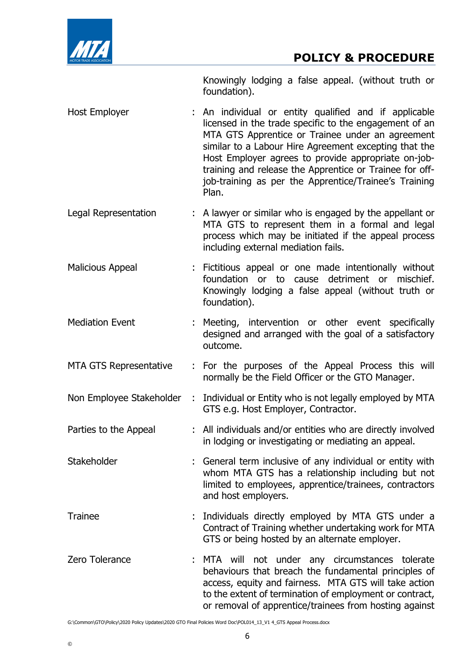

Knowingly lodging a false appeal. (without truth or foundation).

- Host Employer : An individual or entity qualified and if applicable licensed in the trade specific to the engagement of an MTA GTS Apprentice or Trainee under an agreement similar to a Labour Hire Agreement excepting that the Host Employer agrees to provide appropriate on-jobtraining and release the Apprentice or Trainee for offjob-training as per the Apprentice/Trainee's Training Plan.
- Legal Representation : A lawyer or similar who is engaged by the appellant or MTA GTS to represent them in a formal and legal process which may be initiated if the appeal process including external mediation fails.
- Malicious Appeal : Fictitious appeal or one made intentionally without foundation or to cause detriment or mischief. Knowingly lodging a false appeal (without truth or foundation).
- Mediation Event : Meeting, intervention or other event specifically designed and arranged with the goal of a satisfactory outcome.
- MTA GTS Representative : For the purposes of the Appeal Process this will normally be the Field Officer or the GTO Manager.
- Non Employee Stakeholder : Individual or Entity who is not legally employed by MTA GTS e.g. Host Employer, Contractor.
- Parties to the Appeal : All individuals and/or entities who are directly involved in lodging or investigating or mediating an appeal.
- Stakeholder : General term inclusive of any individual or entity with whom MTA GTS has a relationship including but not limited to employees, apprentice/trainees, contractors and host employers.
- Trainee : Individuals directly employed by MTA GTS under a Contract of Training whether undertaking work for MTA GTS or being hosted by an alternate employer.
- Zero Tolerance : MTA will not under any circumstances tolerate behaviours that breach the fundamental principles of access, equity and fairness. MTA GTS will take action to the extent of termination of employment or contract, or removal of apprentice/trainees from hosting against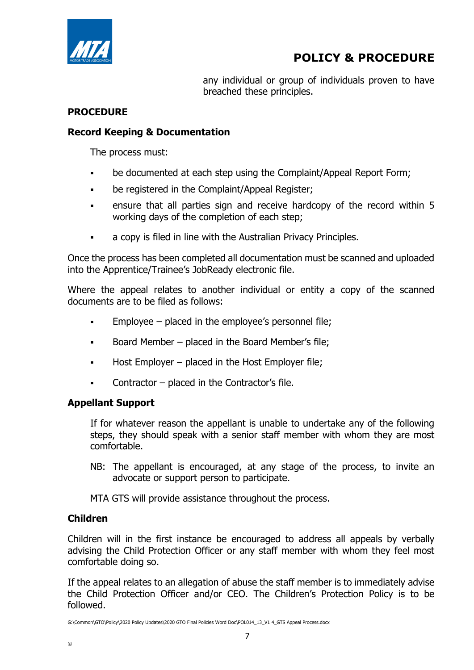

any individual or group of individuals proven to have breached these principles.

## PROCEDURE

## Record Keeping & Documentation

The process must:

- be documented at each step using the Complaint/Appeal Report Form;
- be registered in the Complaint/Appeal Register;
- ensure that all parties sign and receive hardcopy of the record within 5 working days of the completion of each step;
- a copy is filed in line with the Australian Privacy Principles.

Once the process has been completed all documentation must be scanned and uploaded into the Apprentice/Trainee's JobReady electronic file.

Where the appeal relates to another individual or entity a copy of the scanned documents are to be filed as follows:

- Employee placed in the employee's personnel file;
- Board Member placed in the Board Member's file;
- $\blacksquare$  Host Employer placed in the Host Employer file;
- Contractor placed in the Contractor's file.

## Appellant Support

If for whatever reason the appellant is unable to undertake any of the following steps, they should speak with a senior staff member with whom they are most comfortable.

NB: The appellant is encouraged, at any stage of the process, to invite an advocate or support person to participate.

MTA GTS will provide assistance throughout the process.

# Children

Children will in the first instance be encouraged to address all appeals by verbally advising the Child Protection Officer or any staff member with whom they feel most comfortable doing so.

If the appeal relates to an allegation of abuse the staff member is to immediately advise the Child Protection Officer and/or CEO. The Children's Protection Policy is to be followed.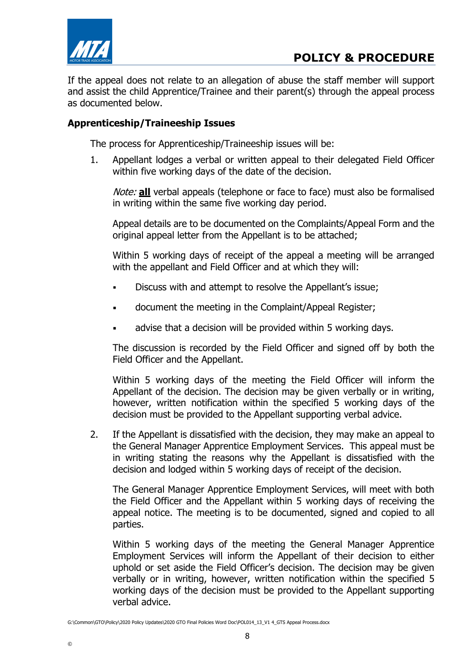

If the appeal does not relate to an allegation of abuse the staff member will support and assist the child Apprentice/Trainee and their parent(s) through the appeal process as documented below.

## Apprenticeship/Traineeship Issues

The process for Apprenticeship/Traineeship issues will be:

1. Appellant lodges a verbal or written appeal to their delegated Field Officer within five working days of the date of the decision.

Note: all verbal appeals (telephone or face to face) must also be formalised in writing within the same five working day period.

Appeal details are to be documented on the Complaints/Appeal Form and the original appeal letter from the Appellant is to be attached;

Within 5 working days of receipt of the appeal a meeting will be arranged with the appellant and Field Officer and at which they will:

- Discuss with and attempt to resolve the Appellant's issue;
- document the meeting in the Complaint/Appeal Register;
- advise that a decision will be provided within 5 working days.

The discussion is recorded by the Field Officer and signed off by both the Field Officer and the Appellant.

Within 5 working days of the meeting the Field Officer will inform the Appellant of the decision. The decision may be given verbally or in writing, however, written notification within the specified 5 working days of the decision must be provided to the Appellant supporting verbal advice.

2. If the Appellant is dissatisfied with the decision, they may make an appeal to the General Manager Apprentice Employment Services. This appeal must be in writing stating the reasons why the Appellant is dissatisfied with the decision and lodged within 5 working days of receipt of the decision.

The General Manager Apprentice Employment Services, will meet with both the Field Officer and the Appellant within 5 working days of receiving the appeal notice. The meeting is to be documented, signed and copied to all parties.

Within 5 working days of the meeting the General Manager Apprentice Employment Services will inform the Appellant of their decision to either uphold or set aside the Field Officer's decision. The decision may be given verbally or in writing, however, written notification within the specified 5 working days of the decision must be provided to the Appellant supporting verbal advice.

G:\Common\GTO\Policy\2020 Policy Updates\2020 GTO Final Policies Word Doc\POL014\_13\_V1 4\_GTS Appeal Process.docx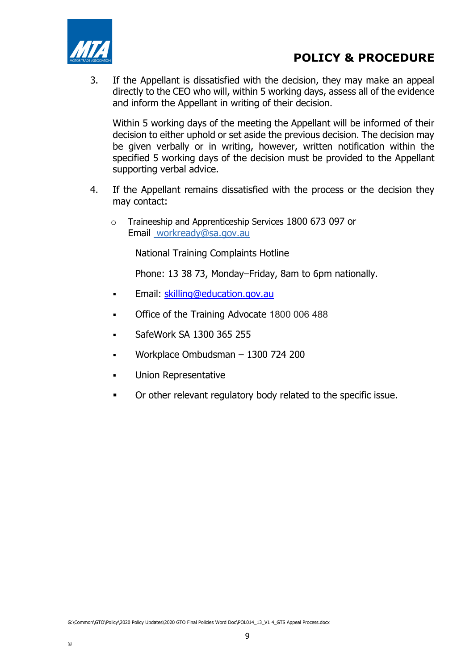

3. If the Appellant is dissatisfied with the decision, they may make an appeal directly to the CEO who will, within 5 working days, assess all of the evidence and inform the Appellant in writing of their decision.

Within 5 working days of the meeting the Appellant will be informed of their decision to either uphold or set aside the previous decision. The decision may be given verbally or in writing, however, written notification within the specified 5 working days of the decision must be provided to the Appellant supporting verbal advice.

- 4. If the Appellant remains dissatisfied with the process or the decision they may contact:
	- o Traineeship and Apprenticeship Services 1800 673 097 or Email workready@sa.gov.au

National Training Complaints Hotline

Phone: 13 38 73, Monday–Friday, 8am to 6pm nationally.

- **Email: skilling@education.gov.au**
- Office of the Training Advocate 1800 006 488
- SafeWork SA 1300 365 255
- Workplace Ombudsman 1300 724 200
- Union Representative
- Or other relevant regulatory body related to the specific issue.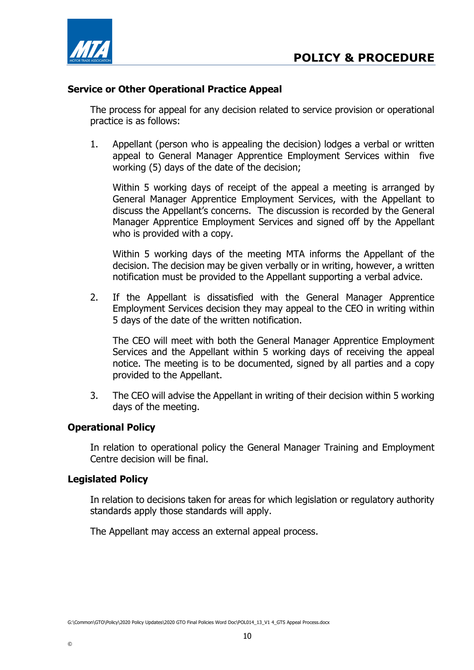

#### Service or Other Operational Practice Appeal

The process for appeal for any decision related to service provision or operational practice is as follows:

1. Appellant (person who is appealing the decision) lodges a verbal or written appeal to General Manager Apprentice Employment Services within five working (5) days of the date of the decision;

Within 5 working days of receipt of the appeal a meeting is arranged by General Manager Apprentice Employment Services, with the Appellant to discuss the Appellant's concerns. The discussion is recorded by the General Manager Apprentice Employment Services and signed off by the Appellant who is provided with a copy.

Within 5 working days of the meeting MTA informs the Appellant of the decision. The decision may be given verbally or in writing, however, a written notification must be provided to the Appellant supporting a verbal advice.

2. If the Appellant is dissatisfied with the General Manager Apprentice Employment Services decision they may appeal to the CEO in writing within 5 days of the date of the written notification.

The CEO will meet with both the General Manager Apprentice Employment Services and the Appellant within 5 working days of receiving the appeal notice. The meeting is to be documented, signed by all parties and a copy provided to the Appellant.

3. The CEO will advise the Appellant in writing of their decision within 5 working days of the meeting.

## Operational Policy

In relation to operational policy the General Manager Training and Employment Centre decision will be final.

#### Legislated Policy

In relation to decisions taken for areas for which legislation or regulatory authority standards apply those standards will apply.

The Appellant may access an external appeal process.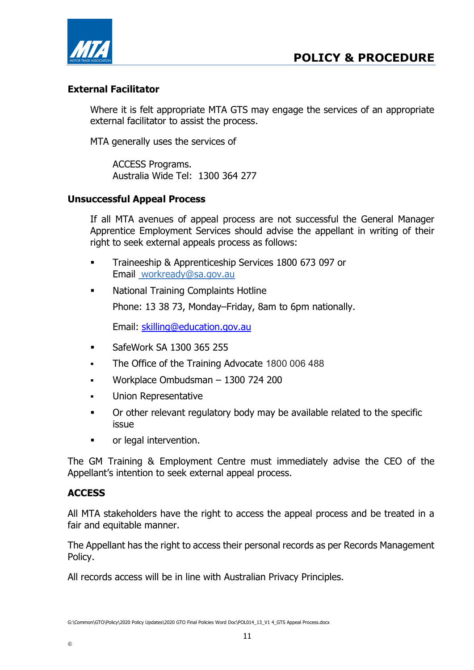

## External Facilitator

Where it is felt appropriate MTA GTS may engage the services of an appropriate external facilitator to assist the process.

MTA generally uses the services of

ACCESS Programs. Australia Wide Tel: 1300 364 277

## Unsuccessful Appeal Process

If all MTA avenues of appeal process are not successful the General Manager Apprentice Employment Services should advise the appellant in writing of their right to seek external appeals process as follows:

- Traineeship & Apprenticeship Services 1800 673 097 or Email workready@sa.gov.au
- **National Training Complaints Hotline** Phone: 13 38 73, Monday–Friday, 8am to 6pm nationally.

Email: skilling@education.gov.au

- **SafeWork SA 1300 365 255**
- The Office of the Training Advocate 1800 006 488
- Workplace Ombudsman 1300 724 200
- Union Representative
- Or other relevant regulatory body may be available related to the specific issue
- or legal intervention.

The GM Training & Employment Centre must immediately advise the CEO of the Appellant's intention to seek external appeal process.

## **ACCESS**

©

All MTA stakeholders have the right to access the appeal process and be treated in a fair and equitable manner.

The Appellant has the right to access their personal records as per Records Management Policy.

All records access will be in line with Australian Privacy Principles.